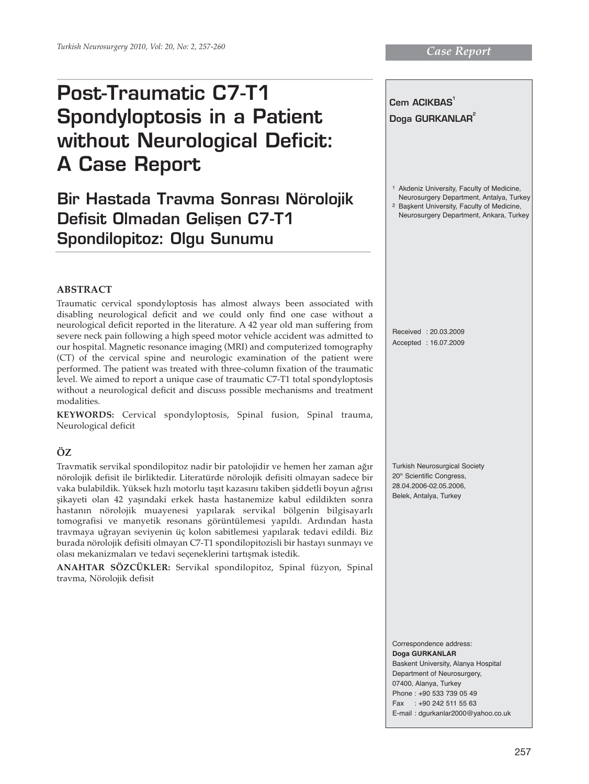# **Post-Traumatic C7-T1 Spondyloptosis in a Patient without Neurological Deficit: A Case Report**

# **Bir Hastada Travma Sonras› Nörolojik Defisit Olmadan Gelisen C7-T1 Spondilopitoz: Olgu Sunumu**

**Cem ACIKBAS1** Doga GURKANLAR<sup>2</sup> <sup>1</sup> Akdeniz University, Faculty of Medicine, Neurosurgery Department, Antalya, Turkey 2 Başkent University, Faculty of Medicine, Neurosurgery Department, Ankara, Turkey Received : 20.03.2009 Accepted : 16.07.2009 Turkish Neurosurgical Society 20<sup>th</sup> Scientific Congress, 28.04.2006-02.05.2006, Belek, Antalya, Turkey Correspondence address: **Doga GURKANLAR** Baskent University, Alanya Hospital Department of Neurosurgery, 07400, Alanya, Turkey

> Phone : +90 533 739 05 49 Fax : +90 242 511 55 63 E-mail : dgurkanlar2000@yahoo.co.uk

#### **ABSTRACT**

Traumatic cervical spondyloptosis has almost always been associated with disabling neurological deficit and we could only find one case without a neurological deficit reported in the literature. A 42 year old man suffering from severe neck pain following a high speed motor vehicle accident was admitted to our hospital. Magnetic resonance imaging (MRI) and computerized tomography (CT) of the cervical spine and neurologic examination of the patient were performed. The patient was treated with three-column fixation of the traumatic level. We aimed to report a unique case of traumatic C7-T1 total spondyloptosis without a neurological deficit and discuss possible mechanisms and treatment modalities.

**KEYWORDS:** Cervical spondyloptosis, Spinal fusion, Spinal trauma, Neurological deficit

### **ÖZ**

Travmatik servikal spondilopitoz nadir bir patolojidir ve hemen her zaman ağır nörolojik defisit ile birliktedir. Literatürde nörolojik defisiti olmayan sadece bir vaka bulabildik. Yüksek hızlı motorlu taşıt kazasını takiben şiddetli boyun ağrısı şikayeti olan 42 yaşındaki erkek hasta hastanemize kabul edildikten sonra hastanın nörolojik muayenesi yapılarak servikal bölgenin bilgisayarlı tomografisi ve manyetik resonans görüntülemesi yapıldı. Ardından hasta travmaya uğrayan seviyenin üç kolon sabitlemesi yapılarak tedavi edildi. Biz burada nörolojik defisiti olmayan C7-T1 spondilopitozisli bir hastayı sunmayı ve olası mekanizmaları ve tedavi seçeneklerini tartışmak istedik.

**ANAHTAR SÖZCÜKLER:** Servikal spondilopitoz, Spinal füzyon, Spinal travma, Nörolojik defisit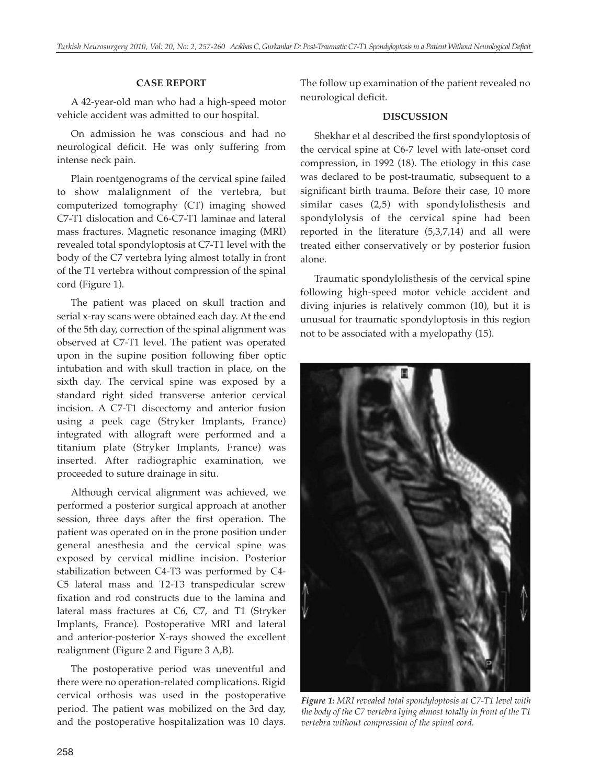## **CASE REPORT**

A 42-year-old man who had a high-speed motor vehicle accident was admitted to our hospital.

On admission he was conscious and had no neurological deficit. He was only suffering from intense neck pain.

Plain roentgenograms of the cervical spine failed to show malalignment of the vertebra, but computerized tomography (CT) imaging showed C7-T1 dislocation and C6-C7-T1 laminae and lateral mass fractures. Magnetic resonance imaging (MRI) revealed total spondyloptosis at C7-T1 level with the body of the C7 vertebra lying almost totally in front of the T1 vertebra without compression of the spinal cord (Figure 1).

The patient was placed on skull traction and serial x-ray scans were obtained each day. At the end of the 5th day, correction of the spinal alignment was observed at C7-T1 level. The patient was operated upon in the supine position following fiber optic intubation and with skull traction in place, on the sixth day. The cervical spine was exposed by a standard right sided transverse anterior cervical incision. A C7-T1 discectomy and anterior fusion using a peek cage (Stryker Implants, France) integrated with allograft were performed and a titanium plate (Stryker Implants, France) was inserted. After radiographic examination, we proceeded to suture drainage in situ.

Although cervical alignment was achieved, we performed a posterior surgical approach at another session, three days after the first operation. The patient was operated on in the prone position under general anesthesia and the cervical spine was exposed by cervical midline incision. Posterior stabilization between C4-T3 was performed by C4- C5 lateral mass and T2-T3 transpedicular screw fixation and rod constructs due to the lamina and lateral mass fractures at C6, C7, and T1 (Stryker Implants, France). Postoperative MRI and lateral and anterior-posterior X-rays showed the excellent realignment (Figure 2 and Figure 3 A,B).

The postoperative period was uneventful and there were no operation-related complications. Rigid cervical orthosis was used in the postoperative period. The patient was mobilized on the 3rd day, and the postoperative hospitalization was 10 days. The follow up examination of the patient revealed no neurological deficit.

#### **DISCUSSION**

Shekhar et al described the first spondyloptosis of the cervical spine at C6-7 level with late-onset cord compression, in 1992 (18). The etiology in this case was declared to be post-traumatic, subsequent to a significant birth trauma. Before their case, 10 more similar cases (2,5) with spondylolisthesis and spondylolysis of the cervical spine had been reported in the literature (5,3,7,14) and all were treated either conservatively or by posterior fusion alone.

Traumatic spondylolisthesis of the cervical spine following high-speed motor vehicle accident and diving injuries is relatively common (10), but it is unusual for traumatic spondyloptosis in this region not to be associated with a myelopathy (15).



*Figure 1: MRI revealed total spondyloptosis at C7-T1 level with the body of the C7 vertebra lying almost totally in front of the T1 vertebra without compression of the spinal cord.*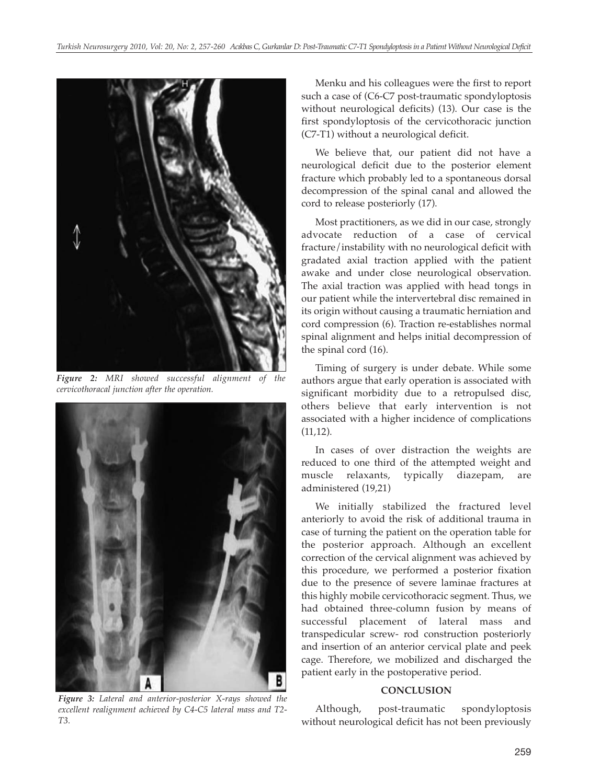

*Figure 2: MRI showed successful alignment of the cervicothoracal junction after the operation.* 



*Figure 3: Lateral and anterior-posterior X-rays showed the excellent realignment achieved by C4-C5 lateral mass and T2- T3.*

Menku and his colleagues were the first to report such a case of (C6-C7 post-traumatic spondyloptosis without neurological deficits) (13). Our case is the first spondyloptosis of the cervicothoracic junction (C7-T1) without a neurological deficit.

We believe that, our patient did not have a neurological deficit due to the posterior element fracture which probably led to a spontaneous dorsal decompression of the spinal canal and allowed the cord to release posteriorly (17).

Most practitioners, as we did in our case, strongly advocate reduction of a case of cervical fracture/instability with no neurological deficit with gradated axial traction applied with the patient awake and under close neurological observation. The axial traction was applied with head tongs in our patient while the intervertebral disc remained in its origin without causing a traumatic herniation and cord compression (6). Traction re-establishes normal spinal alignment and helps initial decompression of the spinal cord (16).

Timing of surgery is under debate. While some authors argue that early operation is associated with significant morbidity due to a retropulsed disc, others believe that early intervention is not associated with a higher incidence of complications (11,12).

In cases of over distraction the weights are reduced to one third of the attempted weight and muscle relaxants, typically diazepam, are administered (19,21)

We initially stabilized the fractured level anteriorly to avoid the risk of additional trauma in case of turning the patient on the operation table for the posterior approach. Although an excellent correction of the cervical alignment was achieved by this procedure, we performed a posterior fixation due to the presence of severe laminae fractures at this highly mobile cervicothoracic segment. Thus, we had obtained three-column fusion by means of successful placement of lateral mass and transpedicular screw- rod construction posteriorly and insertion of an anterior cervical plate and peek cage. Therefore, we mobilized and discharged the patient early in the postoperative period.

### **CONCLUSION**

Although, post-traumatic spondyloptosis without neurological deficit has not been previously